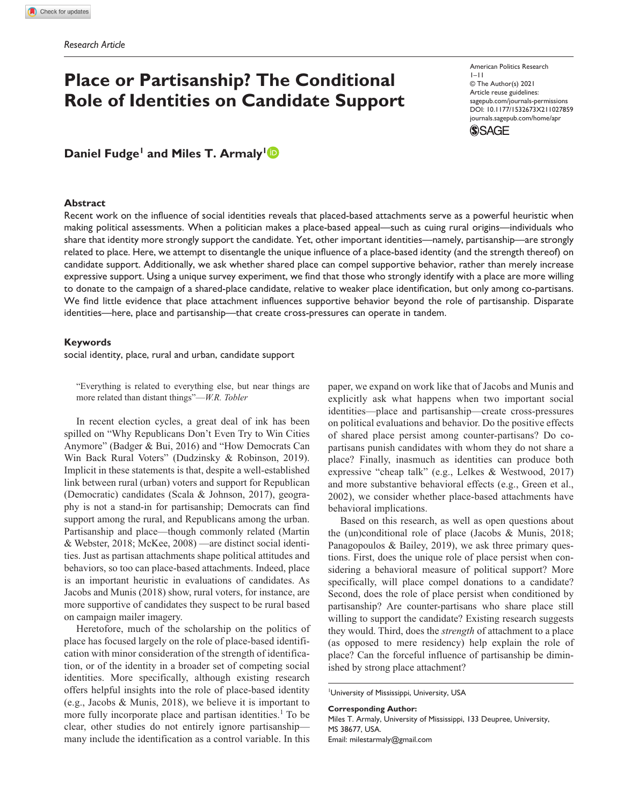# **Place or Partisanship? The Conditional Role of Identities on Candidate Support**

DOI: 10.1177/1532673X211027859 American Politics Research 1–11 © The Author(s) 2021 Article reuse guidelines: [sagepub.com/journals-permissions](https://us.sagepub.com/en-us/journals-permissions)  [journals.sagepub.com/home/apr](https://journals.sagepub.com/home/apr)



# **Daniel Fudge<sup>1</sup> and Miles T. Armaly<sup>1</sup><sup>1</sup>**

#### **Abstract**

Recent work on the influence of social identities reveals that placed-based attachments serve as a powerful heuristic when making political assessments. When a politician makes a place-based appeal—such as cuing rural origins—individuals who share that identity more strongly support the candidate. Yet, other important identities—namely, partisanship—are strongly related to place. Here, we attempt to disentangle the unique influence of a place-based identity (and the strength thereof) on candidate support. Additionally, we ask whether shared place can compel supportive behavior, rather than merely increase expressive support. Using a unique survey experiment, we find that those who strongly identify with a place are more willing to donate to the campaign of a shared-place candidate, relative to weaker place identification, but only among co-partisans. We find little evidence that place attachment influences supportive behavior beyond the role of partisanship. Disparate identities—here, place and partisanship—that create cross-pressures can operate in tandem.

#### **Keywords**

social identity, place, rural and urban, candidate support

"Everything is related to everything else, but near things are more related than distant things"—*W.R. Tobler*

In recent election cycles, a great deal of ink has been spilled on "Why Republicans Don't Even Try to Win Cities Anymore" (Badger & Bui, 2016) and "How Democrats Can Win Back Rural Voters" (Dudzinsky & Robinson, 2019). Implicit in these statements is that, despite a well-established link between rural (urban) voters and support for Republican (Democratic) candidates (Scala & Johnson, 2017), geography is not a stand-in for partisanship; Democrats can find support among the rural, and Republicans among the urban. Partisanship and place—though commonly related (Martin & Webster, 2018; McKee, 2008) —are distinct social identities. Just as partisan attachments shape political attitudes and behaviors, so too can place-based attachments. Indeed, place is an important heuristic in evaluations of candidates. As Jacobs and Munis (2018) show, rural voters, for instance, are more supportive of candidates they suspect to be rural based on campaign mailer imagery.

Heretofore, much of the scholarship on the politics of place has focused largely on the role of place-based identification with minor consideration of the strength of identification, or of the identity in a broader set of competing social identities. More specifically, although existing research offers helpful insights into the role of place-based identity (e.g., Jacobs & Munis, 2018), we believe it is important to more fully incorporate place and partisan identities.<sup>1</sup> To be clear, other studies do not entirely ignore partisanship many include the identification as a control variable. In this

paper, we expand on work like that of Jacobs and Munis and explicitly ask what happens when two important social identities—place and partisanship—create cross-pressures on political evaluations and behavior. Do the positive effects of shared place persist among counter-partisans? Do copartisans punish candidates with whom they do not share a place? Finally, inasmuch as identities can produce both expressive "cheap talk" (e.g., Lelkes & Westwood, 2017) and more substantive behavioral effects (e.g., Green et al., 2002), we consider whether place-based attachments have behavioral implications.

Based on this research, as well as open questions about the (un)conditional role of place (Jacobs & Munis, 2018; Panagopoulos & Bailey, 2019), we ask three primary questions. First, does the unique role of place persist when considering a behavioral measure of political support? More specifically, will place compel donations to a candidate? Second, does the role of place persist when conditioned by partisanship? Are counter-partisans who share place still willing to support the candidate? Existing research suggests they would. Third, does the *strength* of attachment to a place (as opposed to mere residency) help explain the role of place? Can the forceful influence of partisanship be diminished by strong place attachment?

1 University of Mississippi, University, USA

**Corresponding Author:**

Miles T. Armaly, University of Mississippi, 133 Deupree, University, MS 38677, USA. Email: [milestarmaly@gmail.com](mailto:milestarmaly@gmail.com)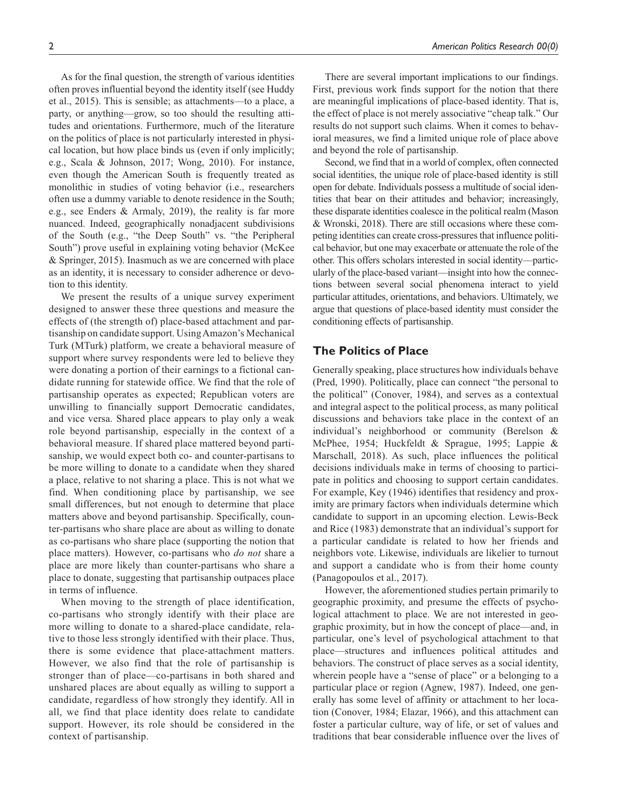As for the final question, the strength of various identities often proves influential beyond the identity itself (see Huddy et al., 2015). This is sensible; as attachments—to a place, a party, or anything—grow, so too should the resulting attitudes and orientations. Furthermore, much of the literature on the politics of place is not particularly interested in physical location, but how place binds us (even if only implicitly; e.g., Scala & Johnson, 2017; Wong, 2010). For instance, even though the American South is frequently treated as monolithic in studies of voting behavior (i.e., researchers often use a dummy variable to denote residence in the South; e.g., see Enders & Armaly, 2019), the reality is far more nuanced. Indeed, geographically nonadjacent subdivisions of the South (e.g., "the Deep South" vs. "the Peripheral South") prove useful in explaining voting behavior (McKee & Springer, 2015). Inasmuch as we are concerned with place as an identity, it is necessary to consider adherence or devotion to this identity.

We present the results of a unique survey experiment designed to answer these three questions and measure the effects of (the strength of) place-based attachment and partisanship on candidate support. Using Amazon's Mechanical Turk (MTurk) platform, we create a behavioral measure of support where survey respondents were led to believe they were donating a portion of their earnings to a fictional candidate running for statewide office. We find that the role of partisanship operates as expected; Republican voters are unwilling to financially support Democratic candidates, and vice versa. Shared place appears to play only a weak role beyond partisanship, especially in the context of a behavioral measure. If shared place mattered beyond partisanship, we would expect both co- and counter-partisans to be more willing to donate to a candidate when they shared a place, relative to not sharing a place. This is not what we find. When conditioning place by partisanship, we see small differences, but not enough to determine that place matters above and beyond partisanship. Specifically, counter-partisans who share place are about as willing to donate as co-partisans who share place (supporting the notion that place matters). However, co-partisans who *do not* share a place are more likely than counter-partisans who share a place to donate, suggesting that partisanship outpaces place in terms of influence.

When moving to the strength of place identification, co-partisans who strongly identify with their place are more willing to donate to a shared-place candidate, relative to those less strongly identified with their place. Thus, there is some evidence that place-attachment matters. However, we also find that the role of partisanship is stronger than of place—co-partisans in both shared and unshared places are about equally as willing to support a candidate, regardless of how strongly they identify. All in all, we find that place identity does relate to candidate support. However, its role should be considered in the context of partisanship.

There are several important implications to our findings. First, previous work finds support for the notion that there are meaningful implications of place-based identity. That is, the effect of place is not merely associative "cheap talk." Our results do not support such claims. When it comes to behavioral measures, we find a limited unique role of place above and beyond the role of partisanship.

Second, we find that in a world of complex, often connected social identities, the unique role of place-based identity is still open for debate. Individuals possess a multitude of social identities that bear on their attitudes and behavior; increasingly, these disparate identities coalesce in the political realm (Mason & Wronski, 2018). There are still occasions where these competing identities can create cross-pressures that influence political behavior, but one may exacerbate or attenuate the role of the other. This offers scholars interested in social identity—particularly of the place-based variant—insight into how the connections between several social phenomena interact to yield particular attitudes, orientations, and behaviors. Ultimately, we argue that questions of place-based identity must consider the conditioning effects of partisanship.

## **The Politics of Place**

Generally speaking, place structures how individuals behave (Pred, 1990). Politically, place can connect "the personal to the political" (Conover, 1984), and serves as a contextual and integral aspect to the political process, as many political discussions and behaviors take place in the context of an individual's neighborhood or community (Berelson & McPhee, 1954; Huckfeldt & Sprague, 1995; Lappie & Marschall, 2018). As such, place influences the political decisions individuals make in terms of choosing to participate in politics and choosing to support certain candidates. For example, Key (1946) identifies that residency and proximity are primary factors when individuals determine which candidate to support in an upcoming election. Lewis-Beck and Rice (1983) demonstrate that an individual's support for a particular candidate is related to how her friends and neighbors vote. Likewise, individuals are likelier to turnout and support a candidate who is from their home county (Panagopoulos et al., 2017).

However, the aforementioned studies pertain primarily to geographic proximity, and presume the effects of psychological attachment to place. We are not interested in geographic proximity, but in how the concept of place—and, in particular, one's level of psychological attachment to that place—structures and influences political attitudes and behaviors. The construct of place serves as a social identity, wherein people have a "sense of place" or a belonging to a particular place or region (Agnew, 1987). Indeed, one generally has some level of affinity or attachment to her location (Conover, 1984; Elazar, 1966), and this attachment can foster a particular culture, way of life, or set of values and traditions that bear considerable influence over the lives of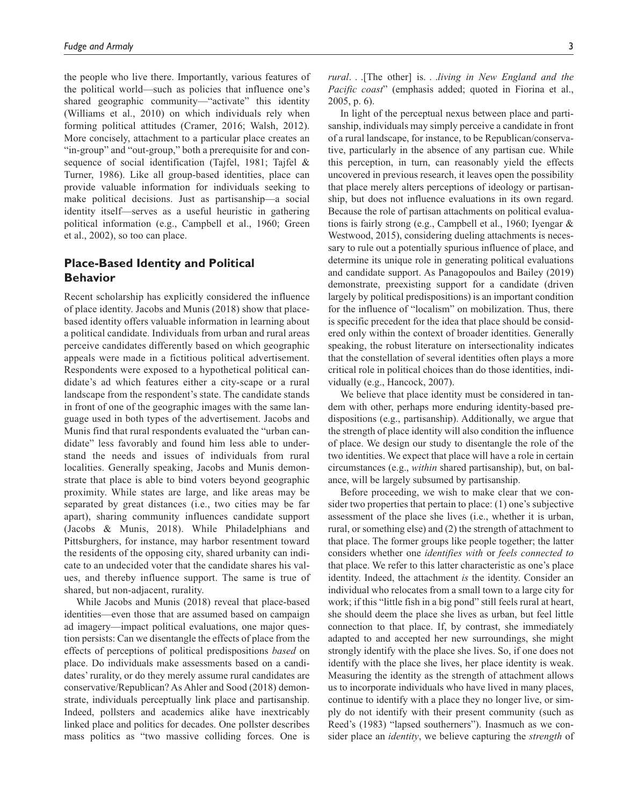the people who live there. Importantly, various features of the political world—such as policies that influence one's shared geographic community—"activate" this identity (Williams et al., 2010) on which individuals rely when forming political attitudes (Cramer, 2016; Walsh, 2012). More concisely, attachment to a particular place creates an "in-group" and "out-group," both a prerequisite for and consequence of social identification (Tajfel, 1981; Tajfel & Turner, 1986). Like all group-based identities, place can provide valuable information for individuals seeking to make political decisions. Just as partisanship—a social identity itself—serves as a useful heuristic in gathering political information (e.g., Campbell et al., 1960; Green et al., 2002), so too can place.

# **Place-Based Identity and Political Behavior**

Recent scholarship has explicitly considered the influence of place identity. Jacobs and Munis (2018) show that placebased identity offers valuable information in learning about a political candidate. Individuals from urban and rural areas perceive candidates differently based on which geographic appeals were made in a fictitious political advertisement. Respondents were exposed to a hypothetical political candidate's ad which features either a city-scape or a rural landscape from the respondent's state. The candidate stands in front of one of the geographic images with the same language used in both types of the advertisement. Jacobs and Munis find that rural respondents evaluated the "urban candidate" less favorably and found him less able to understand the needs and issues of individuals from rural localities. Generally speaking, Jacobs and Munis demonstrate that place is able to bind voters beyond geographic proximity. While states are large, and like areas may be separated by great distances (i.e., two cities may be far apart), sharing community influences candidate support (Jacobs & Munis, 2018). While Philadelphians and Pittsburghers, for instance, may harbor resentment toward the residents of the opposing city, shared urbanity can indicate to an undecided voter that the candidate shares his values, and thereby influence support. The same is true of shared, but non-adjacent, rurality.

While Jacobs and Munis (2018) reveal that place-based identities—even those that are assumed based on campaign ad imagery—impact political evaluations, one major question persists: Can we disentangle the effects of place from the effects of perceptions of political predispositions *based* on place. Do individuals make assessments based on a candidates' rurality, or do they merely assume rural candidates are conservative/Republican? As Ahler and Sood (2018) demonstrate, individuals perceptually link place and partisanship. Indeed, pollsters and academics alike have inextricably linked place and politics for decades. One pollster describes mass politics as "two massive colliding forces. One is

*rural*. . .[The other] is. . .*living in New England and the Pacific coast*" (emphasis added; quoted in Fiorina et al., 2005, p. 6).

In light of the perceptual nexus between place and partisanship, individuals may simply perceive a candidate in front of a rural landscape, for instance, to be Republican/conservative, particularly in the absence of any partisan cue. While this perception, in turn, can reasonably yield the effects uncovered in previous research, it leaves open the possibility that place merely alters perceptions of ideology or partisanship, but does not influence evaluations in its own regard. Because the role of partisan attachments on political evaluations is fairly strong (e.g., Campbell et al., 1960; Iyengar & Westwood, 2015), considering dueling attachments is necessary to rule out a potentially spurious influence of place, and determine its unique role in generating political evaluations and candidate support. As Panagopoulos and Bailey (2019) demonstrate, preexisting support for a candidate (driven largely by political predispositions) is an important condition for the influence of "localism" on mobilization. Thus, there is specific precedent for the idea that place should be considered only within the context of broader identities. Generally speaking, the robust literature on intersectionality indicates that the constellation of several identities often plays a more critical role in political choices than do those identities, individually (e.g., Hancock, 2007).

We believe that place identity must be considered in tandem with other, perhaps more enduring identity-based predispositions (e.g., partisanship). Additionally, we argue that the strength of place identity will also condition the influence of place. We design our study to disentangle the role of the two identities. We expect that place will have a role in certain circumstances (e.g., *within* shared partisanship), but, on balance, will be largely subsumed by partisanship.

Before proceeding, we wish to make clear that we consider two properties that pertain to place: (1) one's subjective assessment of the place she lives (i.e., whether it is urban, rural, or something else) and (2) the strength of attachment to that place. The former groups like people together; the latter considers whether one *identifies with* or *feels connected to* that place. We refer to this latter characteristic as one's place identity. Indeed, the attachment *is* the identity. Consider an individual who relocates from a small town to a large city for work; if this "little fish in a big pond" still feels rural at heart, she should deem the place she lives as urban, but feel little connection to that place. If, by contrast, she immediately adapted to and accepted her new surroundings, she might strongly identify with the place she lives. So, if one does not identify with the place she lives, her place identity is weak. Measuring the identity as the strength of attachment allows us to incorporate individuals who have lived in many places, continue to identify with a place they no longer live, or simply do not identify with their present community (such as Reed's (1983) "lapsed southerners"). Inasmuch as we consider place an *identity*, we believe capturing the *strength* of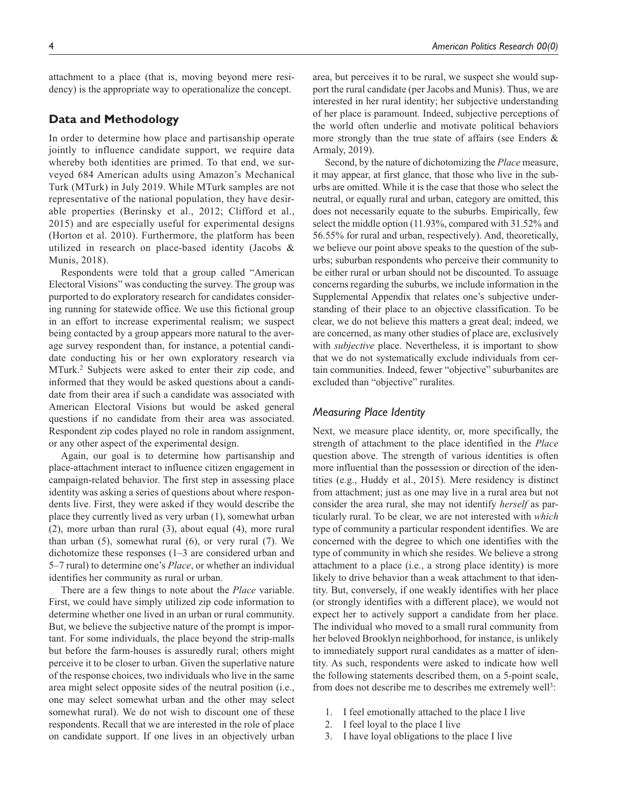attachment to a place (that is, moving beyond mere residency) is the appropriate way to operationalize the concept.

# **Data and Methodology**

In order to determine how place and partisanship operate jointly to influence candidate support, we require data whereby both identities are primed. To that end, we surveyed 684 American adults using Amazon's Mechanical Turk (MTurk) in July 2019. While MTurk samples are not representative of the national population, they have desirable properties (Berinsky et al., 2012; Clifford et al., 2015) and are especially useful for experimental designs (Horton et al. 2010). Furthermore, the platform has been utilized in research on place-based identity (Jacobs & Munis, 2018).

Respondents were told that a group called "American Electoral Visions" was conducting the survey. The group was purported to do exploratory research for candidates considering running for statewide office. We use this fictional group in an effort to increase experimental realism; we suspect being contacted by a group appears more natural to the average survey respondent than, for instance, a potential candidate conducting his or her own exploratory research via MTurk.2 Subjects were asked to enter their zip code, and informed that they would be asked questions about a candidate from their area if such a candidate was associated with American Electoral Visions but would be asked general questions if no candidate from their area was associated. Respondent zip codes played no role in random assignment, or any other aspect of the experimental design.

Again, our goal is to determine how partisanship and place-attachment interact to influence citizen engagement in campaign-related behavior. The first step in assessing place identity was asking a series of questions about where respondents live. First, they were asked if they would describe the place they currently lived as very urban (1), somewhat urban (2), more urban than rural (3), about equal (4), more rural than urban (5), somewhat rural (6), or very rural (7). We dichotomize these responses (1–3 are considered urban and 5–7 rural) to determine one's *Place*, or whether an individual identifies her community as rural or urban.

There are a few things to note about the *Place* variable. First, we could have simply utilized zip code information to determine whether one lived in an urban or rural community. But, we believe the subjective nature of the prompt is important. For some individuals, the place beyond the strip-malls but before the farm-houses is assuredly rural; others might perceive it to be closer to urban. Given the superlative nature of the response choices, two individuals who live in the same area might select opposite sides of the neutral position (i.e., one may select somewhat urban and the other may select somewhat rural). We do not wish to discount one of these respondents. Recall that we are interested in the role of place on candidate support. If one lives in an objectively urban

area, but perceives it to be rural, we suspect she would support the rural candidate (per Jacobs and Munis). Thus, we are interested in her rural identity; her subjective understanding of her place is paramount. Indeed, subjective perceptions of the world often underlie and motivate political behaviors more strongly than the true state of affairs (see Enders & Armaly, 2019).

Second, by the nature of dichotomizing the *Place* measure, it may appear, at first glance, that those who live in the suburbs are omitted. While it is the case that those who select the neutral, or equally rural and urban, category are omitted, this does not necessarily equate to the suburbs. Empirically, few select the middle option (11.93%, compared with 31.52% and 56.55% for rural and urban, respectively). And, theoretically, we believe our point above speaks to the question of the suburbs; suburban respondents who perceive their community to be either rural or urban should not be discounted. To assuage concerns regarding the suburbs, we include information in the Supplemental Appendix that relates one's subjective understanding of their place to an objective classification. To be clear, we do not believe this matters a great deal; indeed, we are concerned, as many other studies of place are, exclusively with *subjective* place. Nevertheless, it is important to show that we do not systematically exclude individuals from certain communities. Indeed, fewer "objective" suburbanites are excluded than "objective" ruralites.

## *Measuring Place Identity*

Next, we measure place identity, or, more specifically, the strength of attachment to the place identified in the *Place* question above. The strength of various identities is often more influential than the possession or direction of the identities (e.g., Huddy et al., 2015). Mere residency is distinct from attachment; just as one may live in a rural area but not consider the area rural, she may not identify *herself* as particularly rural. To be clear, we are not interested with *which* type of community a particular respondent identifies. We are concerned with the degree to which one identifies with the type of community in which she resides. We believe a strong attachment to a place (i.e., a strong place identity) is more likely to drive behavior than a weak attachment to that identity. But, conversely, if one weakly identifies with her place (or strongly identifies with a different place), we would not expect her to actively support a candidate from her place. The individual who moved to a small rural community from her beloved Brooklyn neighborhood, for instance, is unlikely to immediately support rural candidates as a matter of identity. As such, respondents were asked to indicate how well the following statements described them, on a 5-point scale, from does not describe me to describes me extremely well<sup>3</sup>:

- 1. I feel emotionally attached to the place I live
- 2. I feel loyal to the place I live
- 3. I have loyal obligations to the place I live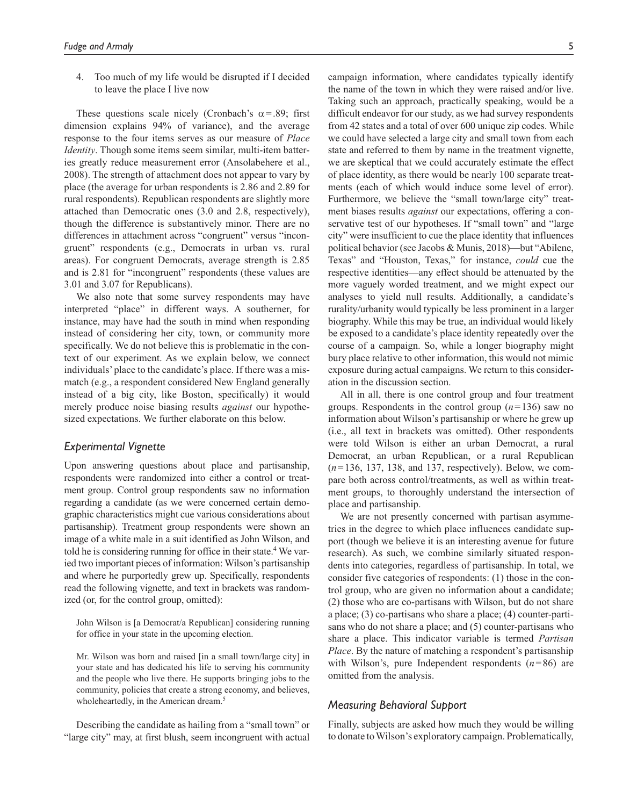4. Too much of my life would be disrupted if I decided to leave the place I live now

These questions scale nicely (Cronbach's  $\alpha$ =.89; first dimension explains 94% of variance), and the average response to the four items serves as our measure of *Place Identity*. Though some items seem similar, multi-item batteries greatly reduce measurement error (Ansolabehere et al., 2008). The strength of attachment does not appear to vary by place (the average for urban respondents is 2.86 and 2.89 for rural respondents). Republican respondents are slightly more attached than Democratic ones (3.0 and 2.8, respectively), though the difference is substantively minor. There are no differences in attachment across "congruent" versus "incongruent" respondents (e.g., Democrats in urban vs. rural areas). For congruent Democrats, average strength is 2.85 and is 2.81 for "incongruent" respondents (these values are 3.01 and 3.07 for Republicans).

We also note that some survey respondents may have interpreted "place" in different ways. A southerner, for instance, may have had the south in mind when responding instead of considering her city, town, or community more specifically. We do not believe this is problematic in the context of our experiment. As we explain below, we connect individuals' place to the candidate's place. If there was a mismatch (e.g., a respondent considered New England generally instead of a big city, like Boston, specifically) it would merely produce noise biasing results *against* our hypothesized expectations. We further elaborate on this below.

## *Experimental Vignette*

Upon answering questions about place and partisanship, respondents were randomized into either a control or treatment group. Control group respondents saw no information regarding a candidate (as we were concerned certain demographic characteristics might cue various considerations about partisanship). Treatment group respondents were shown an image of a white male in a suit identified as John Wilson, and told he is considering running for office in their state.<sup>4</sup> We varied two important pieces of information: Wilson's partisanship and where he purportedly grew up. Specifically, respondents read the following vignette, and text in brackets was randomized (or, for the control group, omitted):

John Wilson is [a Democrat/a Republican] considering running for office in your state in the upcoming election.

Mr. Wilson was born and raised [in a small town/large city] in your state and has dedicated his life to serving his community and the people who live there. He supports bringing jobs to the community, policies that create a strong economy, and believes, wholeheartedly, in the American dream.<sup>5</sup>

Describing the candidate as hailing from a "small town" or "large city" may, at first blush, seem incongruent with actual

campaign information, where candidates typically identify the name of the town in which they were raised and/or live. Taking such an approach, practically speaking, would be a difficult endeavor for our study, as we had survey respondents from 42 states and a total of over 600 unique zip codes. While we could have selected a large city and small town from each state and referred to them by name in the treatment vignette, we are skeptical that we could accurately estimate the effect of place identity, as there would be nearly 100 separate treatments (each of which would induce some level of error). Furthermore, we believe the "small town/large city" treatment biases results *against* our expectations, offering a conservative test of our hypotheses. If "small town" and "large city" were insufficient to cue the place identity that influences political behavior (see Jacobs & Munis, 2018)—but "Abilene, Texas" and "Houston, Texas," for instance, *could* cue the respective identities—any effect should be attenuated by the more vaguely worded treatment, and we might expect our analyses to yield null results. Additionally, a candidate's rurality/urbanity would typically be less prominent in a larger biography. While this may be true, an individual would likely be exposed to a candidate's place identity repeatedly over the course of a campaign. So, while a longer biography might bury place relative to other information, this would not mimic exposure during actual campaigns. We return to this consideration in the discussion section.

All in all, there is one control group and four treatment groups. Respondents in the control group (*n*=136) saw no information about Wilson's partisanship or where he grew up (i.e., all text in brackets was omitted). Other respondents were told Wilson is either an urban Democrat, a rural Democrat, an urban Republican, or a rural Republican (*n*=136, 137, 138, and 137, respectively). Below, we compare both across control/treatments, as well as within treatment groups, to thoroughly understand the intersection of place and partisanship.

We are not presently concerned with partisan asymmetries in the degree to which place influences candidate support (though we believe it is an interesting avenue for future research). As such, we combine similarly situated respondents into categories, regardless of partisanship. In total, we consider five categories of respondents: (1) those in the control group, who are given no information about a candidate; (2) those who are co-partisans with Wilson, but do not share a place; (3) co-partisans who share a place; (4) counter-partisans who do not share a place; and (5) counter-partisans who share a place. This indicator variable is termed *Partisan Place*. By the nature of matching a respondent's partisanship with Wilson's, pure Independent respondents (*n*=86) are omitted from the analysis.

#### *Measuring Behavioral Support*

Finally, subjects are asked how much they would be willing to donate to Wilson's exploratory campaign. Problematically,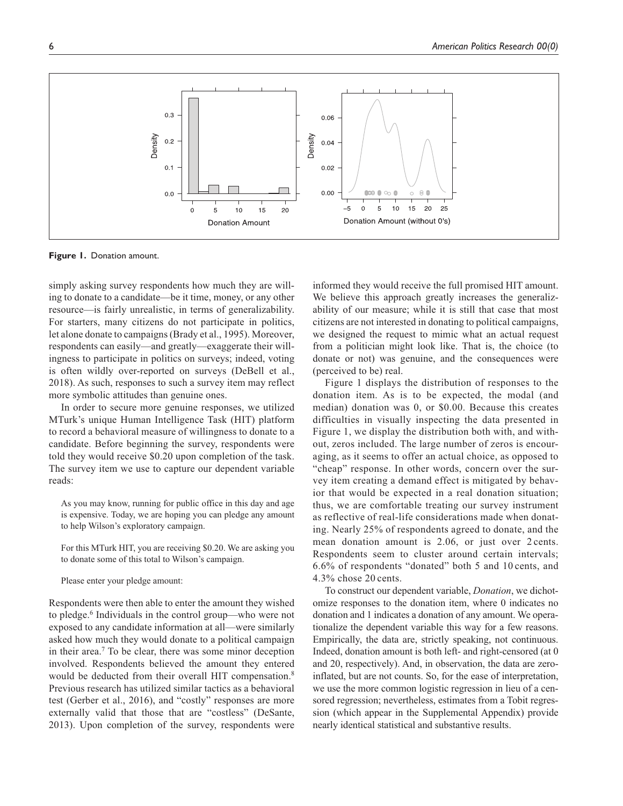

**Figure 1.** Donation amount.

simply asking survey respondents how much they are willing to donate to a candidate—be it time, money, or any other resource—is fairly unrealistic, in terms of generalizability. For starters, many citizens do not participate in politics, let alone donate to campaigns (Brady et al., 1995). Moreover, respondents can easily—and greatly—exaggerate their willingness to participate in politics on surveys; indeed, voting is often wildly over-reported on surveys (DeBell et al., 2018). As such, responses to such a survey item may reflect more symbolic attitudes than genuine ones.

In order to secure more genuine responses, we utilized MTurk's unique Human Intelligence Task (HIT) platform to record a behavioral measure of willingness to donate to a candidate. Before beginning the survey, respondents were told they would receive \$0.20 upon completion of the task. The survey item we use to capture our dependent variable reads:

As you may know, running for public office in this day and age is expensive. Today, we are hoping you can pledge any amount to help Wilson's exploratory campaign.

For this MTurk HIT, you are receiving \$0.20. We are asking you to donate some of this total to Wilson's campaign.

Please enter your pledge amount:

Respondents were then able to enter the amount they wished to pledge.<sup>6</sup> Individuals in the control group—who were not exposed to any candidate information at all—were similarly asked how much they would donate to a political campaign in their area.<sup>7</sup> To be clear, there was some minor deception involved. Respondents believed the amount they entered would be deducted from their overall HIT compensation.<sup>8</sup> Previous research has utilized similar tactics as a behavioral test (Gerber et al., 2016), and "costly" responses are more externally valid that those that are "costless" (DeSante, 2013). Upon completion of the survey, respondents were

informed they would receive the full promised HIT amount. We believe this approach greatly increases the generalizability of our measure; while it is still that case that most citizens are not interested in donating to political campaigns, we designed the request to mimic what an actual request from a politician might look like. That is, the choice (to donate or not) was genuine, and the consequences were (perceived to be) real.

Figure 1 displays the distribution of responses to the donation item. As is to be expected, the modal (and median) donation was 0, or \$0.00. Because this creates difficulties in visually inspecting the data presented in Figure 1, we display the distribution both with, and without, zeros included. The large number of zeros is encouraging, as it seems to offer an actual choice, as opposed to "cheap" response. In other words, concern over the survey item creating a demand effect is mitigated by behavior that would be expected in a real donation situation; thus, we are comfortable treating our survey instrument as reflective of real-life considerations made when donating. Nearly 25% of respondents agreed to donate, and the mean donation amount is 2.06, or just over 2 cents. Respondents seem to cluster around certain intervals; 6.6% of respondents "donated" both 5 and 10 cents, and 4.3% chose 20 cents.

To construct our dependent variable, *Donation*, we dichotomize responses to the donation item, where 0 indicates no donation and 1 indicates a donation of any amount. We operationalize the dependent variable this way for a few reasons. Empirically, the data are, strictly speaking, not continuous. Indeed, donation amount is both left- and right-censored (at 0 and 20, respectively). And, in observation, the data are zeroinflated, but are not counts. So, for the ease of interpretation, we use the more common logistic regression in lieu of a censored regression; nevertheless, estimates from a Tobit regression (which appear in the Supplemental Appendix) provide nearly identical statistical and substantive results.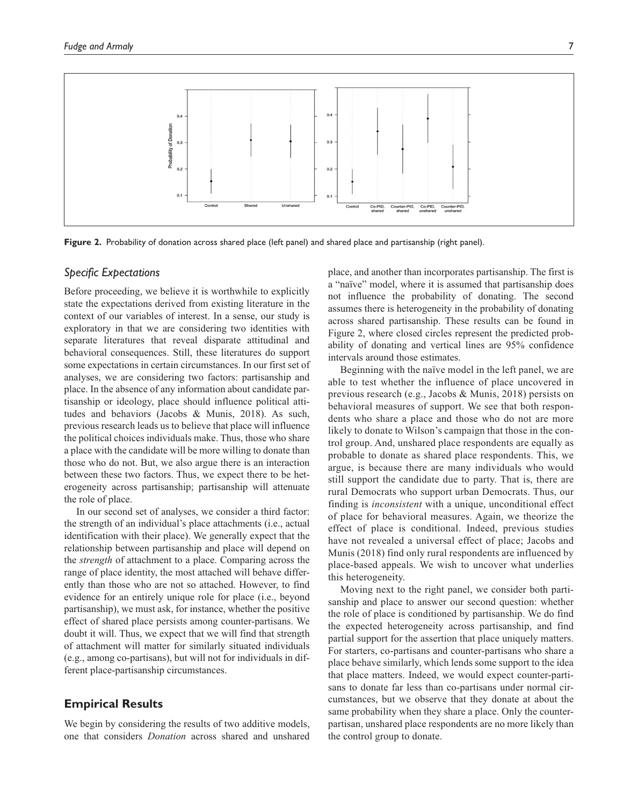

**Figure 2.** Probability of donation across shared place (left panel) and shared place and partisanship (right panel).

## *Specific Expectations*

Before proceeding, we believe it is worthwhile to explicitly state the expectations derived from existing literature in the context of our variables of interest. In a sense, our study is exploratory in that we are considering two identities with separate literatures that reveal disparate attitudinal and behavioral consequences. Still, these literatures do support some expectations in certain circumstances. In our first set of analyses, we are considering two factors: partisanship and place. In the absence of any information about candidate partisanship or ideology, place should influence political attitudes and behaviors (Jacobs & Munis, 2018). As such, previous research leads us to believe that place will influence the political choices individuals make. Thus, those who share a place with the candidate will be more willing to donate than those who do not. But, we also argue there is an interaction between these two factors. Thus, we expect there to be heterogeneity across partisanship; partisanship will attenuate the role of place.

In our second set of analyses, we consider a third factor: the strength of an individual's place attachments (i.e., actual identification with their place). We generally expect that the relationship between partisanship and place will depend on the *strength* of attachment to a place. Comparing across the range of place identity, the most attached will behave differently than those who are not so attached. However, to find evidence for an entirely unique role for place (i.e., beyond partisanship), we must ask, for instance, whether the positive effect of shared place persists among counter-partisans. We doubt it will. Thus, we expect that we will find that strength of attachment will matter for similarly situated individuals (e.g., among co-partisans), but will not for individuals in different place-partisanship circumstances.

# **Empirical Results**

We begin by considering the results of two additive models, one that considers *Donation* across shared and unshared

place, and another than incorporates partisanship. The first is a "naïve" model, where it is assumed that partisanship does not influence the probability of donating. The second assumes there is heterogeneity in the probability of donating across shared partisanship. These results can be found in Figure 2, where closed circles represent the predicted probability of donating and vertical lines are 95% confidence intervals around those estimates.

Beginning with the naïve model in the left panel, we are able to test whether the influence of place uncovered in previous research (e.g., Jacobs & Munis, 2018) persists on behavioral measures of support. We see that both respondents who share a place and those who do not are more likely to donate to Wilson's campaign that those in the control group. And, unshared place respondents are equally as probable to donate as shared place respondents. This, we argue, is because there are many individuals who would still support the candidate due to party. That is, there are rural Democrats who support urban Democrats. Thus, our finding is *inconsistent* with a unique, unconditional effect of place for behavioral measures. Again, we theorize the effect of place is conditional. Indeed, previous studies have not revealed a universal effect of place; Jacobs and Munis (2018) find only rural respondents are influenced by place-based appeals. We wish to uncover what underlies this heterogeneity.

Moving next to the right panel, we consider both partisanship and place to answer our second question: whether the role of place is conditioned by partisanship. We do find the expected heterogeneity across partisanship, and find partial support for the assertion that place uniquely matters. For starters, co-partisans and counter-partisans who share a place behave similarly, which lends some support to the idea that place matters. Indeed, we would expect counter-partisans to donate far less than co-partisans under normal circumstances, but we observe that they donate at about the same probability when they share a place. Only the counterpartisan, unshared place respondents are no more likely than the control group to donate.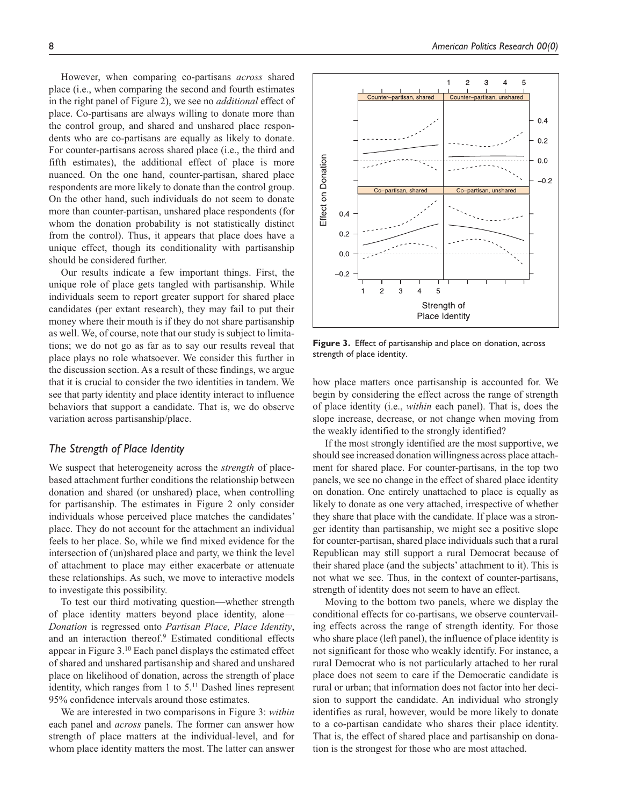However, when comparing co-partisans *across* shared place (i.e., when comparing the second and fourth estimates in the right panel of Figure 2), we see no *additional* effect of place. Co-partisans are always willing to donate more than the control group, and shared and unshared place respondents who are co-partisans are equally as likely to donate. For counter-partisans across shared place (i.e., the third and fifth estimates), the additional effect of place is more nuanced. On the one hand, counter-partisan, shared place respondents are more likely to donate than the control group. On the other hand, such individuals do not seem to donate more than counter-partisan, unshared place respondents (for whom the donation probability is not statistically distinct from the control). Thus, it appears that place does have a unique effect, though its conditionality with partisanship should be considered further.

Our results indicate a few important things. First, the unique role of place gets tangled with partisanship. While individuals seem to report greater support for shared place candidates (per extant research), they may fail to put their money where their mouth is if they do not share partisanship as well. We, of course, note that our study is subject to limitations; we do not go as far as to say our results reveal that place plays no role whatsoever. We consider this further in the discussion section. As a result of these findings, we argue that it is crucial to consider the two identities in tandem. We see that party identity and place identity interact to influence behaviors that support a candidate. That is, we do observe variation across partisanship/place.

## *The Strength of Place Identity*

We suspect that heterogeneity across the *strength* of placebased attachment further conditions the relationship between donation and shared (or unshared) place, when controlling for partisanship. The estimates in Figure 2 only consider individuals whose perceived place matches the candidates' place. They do not account for the attachment an individual feels to her place. So, while we find mixed evidence for the intersection of (un)shared place and party, we think the level of attachment to place may either exacerbate or attenuate these relationships. As such, we move to interactive models to investigate this possibility.

To test our third motivating question—whether strength of place identity matters beyond place identity, alone— *Donation* is regressed onto *Partisan Place, Place Identity*, and an interaction thereof.<sup>9</sup> Estimated conditional effects appear in Figure 3.10 Each panel displays the estimated effect of shared and unshared partisanship and shared and unshared place on likelihood of donation, across the strength of place identity, which ranges from 1 to  $5<sup>11</sup>$  Dashed lines represent 95% confidence intervals around those estimates.

We are interested in two comparisons in Figure 3: *within* each panel and *across* panels. The former can answer how strength of place matters at the individual-level, and for whom place identity matters the most. The latter can answer



**Figure 3.** Effect of partisanship and place on donation, across strength of place identity.

how place matters once partisanship is accounted for. We begin by considering the effect across the range of strength of place identity (i.e., *within* each panel). That is, does the slope increase, decrease, or not change when moving from the weakly identified to the strongly identified?

If the most strongly identified are the most supportive, we should see increased donation willingness across place attachment for shared place. For counter-partisans, in the top two panels, we see no change in the effect of shared place identity on donation. One entirely unattached to place is equally as likely to donate as one very attached, irrespective of whether they share that place with the candidate. If place was a stronger identity than partisanship, we might see a positive slope for counter-partisan, shared place individuals such that a rural Republican may still support a rural Democrat because of their shared place (and the subjects' attachment to it). This is not what we see. Thus, in the context of counter-partisans, strength of identity does not seem to have an effect.

Moving to the bottom two panels, where we display the conditional effects for co-partisans, we observe countervailing effects across the range of strength identity. For those who share place (left panel), the influence of place identity is not significant for those who weakly identify. For instance, a rural Democrat who is not particularly attached to her rural place does not seem to care if the Democratic candidate is rural or urban; that information does not factor into her decision to support the candidate. An individual who strongly identifies as rural, however, would be more likely to donate to a co-partisan candidate who shares their place identity. That is, the effect of shared place and partisanship on donation is the strongest for those who are most attached.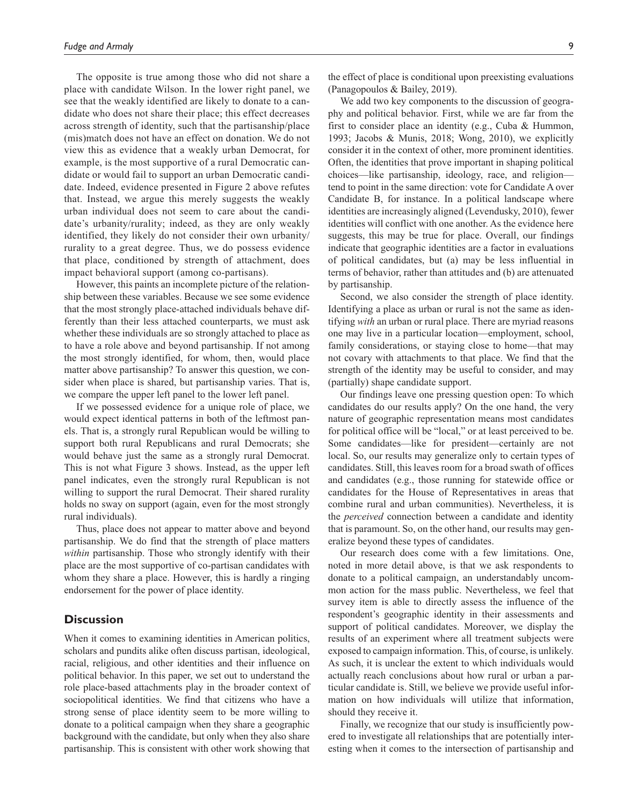The opposite is true among those who did not share a place with candidate Wilson. In the lower right panel, we see that the weakly identified are likely to donate to a candidate who does not share their place; this effect decreases across strength of identity, such that the partisanship/place (mis)match does not have an effect on donation. We do not view this as evidence that a weakly urban Democrat, for example, is the most supportive of a rural Democratic candidate or would fail to support an urban Democratic candidate. Indeed, evidence presented in Figure 2 above refutes that. Instead, we argue this merely suggests the weakly urban individual does not seem to care about the candidate's urbanity/rurality; indeed, as they are only weakly identified, they likely do not consider their own urbanity/ rurality to a great degree. Thus, we do possess evidence that place, conditioned by strength of attachment, does impact behavioral support (among co-partisans).

However, this paints an incomplete picture of the relationship between these variables. Because we see some evidence that the most strongly place-attached individuals behave differently than their less attached counterparts, we must ask whether these individuals are so strongly attached to place as to have a role above and beyond partisanship. If not among the most strongly identified, for whom, then, would place matter above partisanship? To answer this question, we consider when place is shared, but partisanship varies. That is, we compare the upper left panel to the lower left panel.

If we possessed evidence for a unique role of place, we would expect identical patterns in both of the leftmost panels. That is, a strongly rural Republican would be willing to support both rural Republicans and rural Democrats; she would behave just the same as a strongly rural Democrat. This is not what Figure 3 shows. Instead, as the upper left panel indicates, even the strongly rural Republican is not willing to support the rural Democrat. Their shared rurality holds no sway on support (again, even for the most strongly rural individuals).

Thus, place does not appear to matter above and beyond partisanship. We do find that the strength of place matters *within* partisanship. Those who strongly identify with their place are the most supportive of co-partisan candidates with whom they share a place. However, this is hardly a ringing endorsement for the power of place identity.

## **Discussion**

When it comes to examining identities in American politics, scholars and pundits alike often discuss partisan, ideological, racial, religious, and other identities and their influence on political behavior. In this paper, we set out to understand the role place-based attachments play in the broader context of sociopolitical identities. We find that citizens who have a strong sense of place identity seem to be more willing to donate to a political campaign when they share a geographic background with the candidate, but only when they also share partisanship. This is consistent with other work showing that

the effect of place is conditional upon preexisting evaluations (Panagopoulos & Bailey, 2019).

We add two key components to the discussion of geography and political behavior. First, while we are far from the first to consider place an identity (e.g., Cuba & Hummon, 1993; Jacobs & Munis, 2018; Wong, 2010), we explicitly consider it in the context of other, more prominent identities. Often, the identities that prove important in shaping political choices—like partisanship, ideology, race, and religion tend to point in the same direction: vote for Candidate A over Candidate B, for instance. In a political landscape where identities are increasingly aligned (Levendusky, 2010), fewer identities will conflict with one another. As the evidence here suggests, this may be true for place. Overall, our findings indicate that geographic identities are a factor in evaluations of political candidates, but (a) may be less influential in terms of behavior, rather than attitudes and (b) are attenuated by partisanship.

Second, we also consider the strength of place identity. Identifying a place as urban or rural is not the same as identifying *with* an urban or rural place. There are myriad reasons one may live in a particular location—employment, school, family considerations, or staying close to home—that may not covary with attachments to that place. We find that the strength of the identity may be useful to consider, and may (partially) shape candidate support.

Our findings leave one pressing question open: To which candidates do our results apply? On the one hand, the very nature of geographic representation means most candidates for political office will be "local," or at least perceived to be. Some candidates—like for president—certainly are not local. So, our results may generalize only to certain types of candidates. Still, this leaves room for a broad swath of offices and candidates (e.g., those running for statewide office or candidates for the House of Representatives in areas that combine rural and urban communities). Nevertheless, it is the *perceived* connection between a candidate and identity that is paramount. So, on the other hand, our results may generalize beyond these types of candidates.

Our research does come with a few limitations. One, noted in more detail above, is that we ask respondents to donate to a political campaign, an understandably uncommon action for the mass public. Nevertheless, we feel that survey item is able to directly assess the influence of the respondent's geographic identity in their assessments and support of political candidates. Moreover, we display the results of an experiment where all treatment subjects were exposed to campaign information. This, of course, is unlikely. As such, it is unclear the extent to which individuals would actually reach conclusions about how rural or urban a particular candidate is. Still, we believe we provide useful information on how individuals will utilize that information, should they receive it.

Finally, we recognize that our study is insufficiently powered to investigate all relationships that are potentially interesting when it comes to the intersection of partisanship and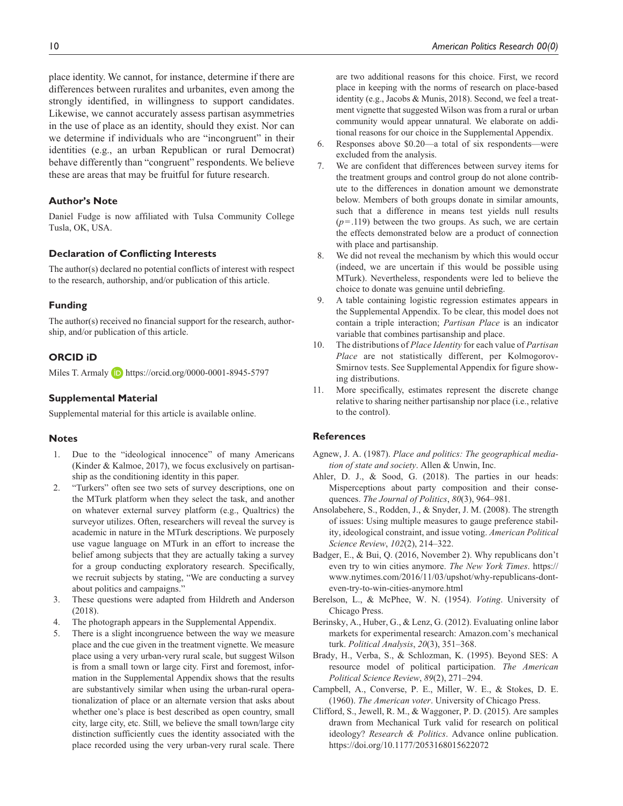place identity. We cannot, for instance, determine if there are differences between ruralites and urbanites, even among the strongly identified, in willingness to support candidates. Likewise, we cannot accurately assess partisan asymmetries in the use of place as an identity, should they exist. Nor can we determine if individuals who are "incongruent" in their identities (e.g., an urban Republican or rural Democrat) behave differently than "congruent" respondents. We believe these are areas that may be fruitful for future research.

#### **Author's Note**

Daniel Fudge is now affiliated with Tulsa Community College Tusla, OK, USA.

#### **Declaration of Conflicting Interests**

The author(s) declared no potential conflicts of interest with respect to the research, authorship, and/or publication of this article.

#### **Funding**

The author(s) received no financial support for the research, authorship, and/or publication of this article.

## **ORCID iD**

Miles T. Armaly **D** <https://orcid.org/0000-0001-8945-5797>

#### **Supplemental Material**

Supplemental material for this article is available online.

#### **Notes**

- 1. Due to the "ideological innocence" of many Americans (Kinder & Kalmoe, 2017), we focus exclusively on partisanship as the conditioning identity in this paper.
- 2. "Turkers" often see two sets of survey descriptions, one on the MTurk platform when they select the task, and another on whatever external survey platform (e.g., Qualtrics) the surveyor utilizes. Often, researchers will reveal the survey is academic in nature in the MTurk descriptions. We purposely use vague language on MTurk in an effort to increase the belief among subjects that they are actually taking a survey for a group conducting exploratory research. Specifically, we recruit subjects by stating, "We are conducting a survey about politics and campaigns."
- 3. These questions were adapted from Hildreth and Anderson (2018).
- 4. The photograph appears in the Supplemental Appendix.
- 5. There is a slight incongruence between the way we measure place and the cue given in the treatment vignette. We measure place using a very urban-very rural scale, but suggest Wilson is from a small town or large city. First and foremost, information in the Supplemental Appendix shows that the results are substantively similar when using the urban-rural operationalization of place or an alternate version that asks about whether one's place is best described as open country, small city, large city, etc. Still, we believe the small town/large city distinction sufficiently cues the identity associated with the place recorded using the very urban-very rural scale. There

are two additional reasons for this choice. First, we record place in keeping with the norms of research on place-based identity (e.g., Jacobs & Munis, 2018). Second, we feel a treatment vignette that suggested Wilson was from a rural or urban community would appear unnatural. We elaborate on additional reasons for our choice in the Supplemental Appendix.

- 6. Responses above \$0.20—a total of six respondents—were excluded from the analysis.
- 7. We are confident that differences between survey items for the treatment groups and control group do not alone contribute to the differences in donation amount we demonstrate below. Members of both groups donate in similar amounts, such that a difference in means test yields null results  $(p=.119)$  between the two groups. As such, we are certain the effects demonstrated below are a product of connection with place and partisanship.
- 8. We did not reveal the mechanism by which this would occur (indeed, we are uncertain if this would be possible using MTurk). Nevertheless, respondents were led to believe the choice to donate was genuine until debriefing.
- 9. A table containing logistic regression estimates appears in the Supplemental Appendix. To be clear, this model does not contain a triple interaction; *Partisan Place* is an indicator variable that combines partisanship and place.
- 10. The distributions of *Place Identity* for each value of *Partisan Place* are not statistically different, per Kolmogorov-Smirnov tests. See Supplemental Appendix for figure showing distributions.
- 11. More specifically, estimates represent the discrete change relative to sharing neither partisanship nor place (i.e., relative to the control).

# **References**

- Agnew, J. A. (1987). *Place and politics: The geographical mediation of state and society*. Allen & Unwin, Inc.
- Ahler, D. J., & Sood, G. (2018). The parties in our heads: Misperceptions about party composition and their consequences. *The Journal of Politics*, *80*(3), 964–981.
- Ansolabehere, S., Rodden, J., & Snyder, J. M. (2008). The strength of issues: Using multiple measures to gauge preference stability, ideological constraint, and issue voting. *American Political Science Review*, *102*(2), 214–322.
- Badger, E., & Bui, Q. (2016, November 2). Why republicans don't even try to win cities anymore. *The New York Times*. [https://](https://www.nytimes.com/2016/11/03/upshot/why-republicans-dont-even-try-to-win-cities-anymore.html) [www.nytimes.com/2016/11/03/upshot/why-republicans-dont](https://www.nytimes.com/2016/11/03/upshot/why-republicans-dont-even-try-to-win-cities-anymore.html)[even-try-to-win-cities-anymore.html](https://www.nytimes.com/2016/11/03/upshot/why-republicans-dont-even-try-to-win-cities-anymore.html)
- Berelson, L., & McPhee, W. N. (1954). *Voting*. University of Chicago Press.
- Berinsky, A., Huber, G., & Lenz, G. (2012). Evaluating online labor markets for experimental research: Amazon.com's mechanical turk. *Political Analysis*, *20*(3), 351–368.
- Brady, H., Verba, S., & Schlozman, K. (1995). Beyond SES: A resource model of political participation. *The American Political Science Review*, *89*(2), 271–294.
- Campbell, A., Converse, P. E., Miller, W. E., & Stokes, D. E. (1960). *The American voter*. University of Chicago Press.
- Clifford, S., Jewell, R. M., & Waggoner, P. D. (2015). Are samples drawn from Mechanical Turk valid for research on political ideology? *Research & Politics*. Advance online publication. <https://doi.org/10.1177/2053168015622072>